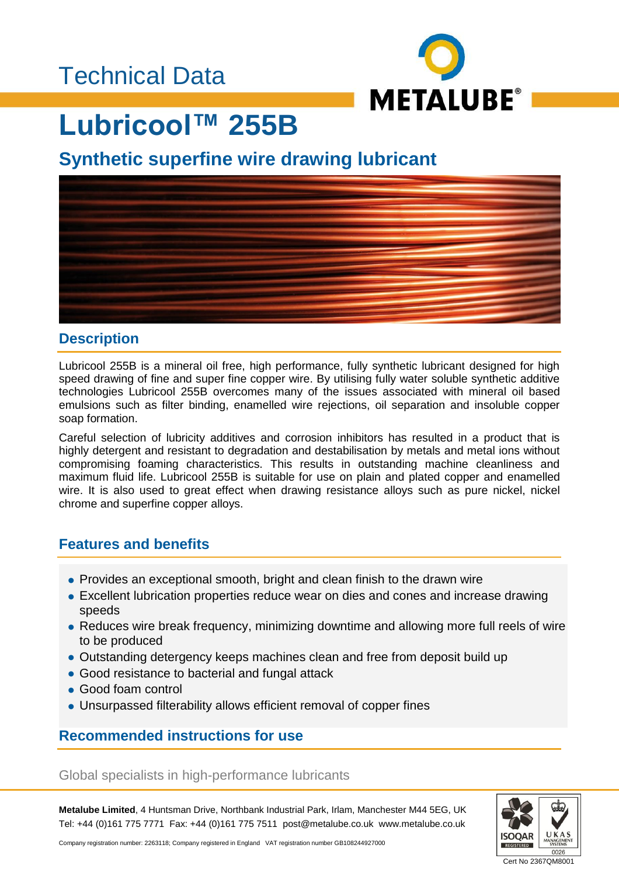

# **Lubricool™ 255B**

**Synthetic superfine wire drawing lubricant** 



#### **Description**

Lubricool 255B is a mineral oil free, high performance, fully synthetic lubricant designed for high speed drawing of fine and super fine copper wire. By utilising fully water soluble synthetic additive technologies Lubricool 255B overcomes many of the issues associated with mineral oil based emulsions such as filter binding, enamelled wire rejections, oil separation and insoluble copper soap formation.

Careful selection of lubricity additives and corrosion inhibitors has resulted in a product that is highly detergent and resistant to degradation and destabilisation by metals and metal ions without compromising foaming characteristics. This results in outstanding machine cleanliness and maximum fluid life. Lubricool 255B is suitable for use on plain and plated copper and enamelled wire. It is also used to great effect when drawing resistance alloys such as pure nickel, nickel chrome and superfine copper alloys.

### **Features and benefits**

- Provides an exceptional smooth, bright and clean finish to the drawn wire
- Excellent lubrication properties reduce wear on dies and cones and increase drawing speeds
- Reduces wire break frequency, minimizing downtime and allowing more full reels of wire to be produced
- Outstanding detergency keeps machines clean and free from deposit build up
- Good resistance to bacterial and fungal attack
- Good foam control
- Unsurpassed filterability allows efficient removal of copper fines

### **Recommended instructions for use**

Global specialists in high-performance lubricants

**Metalube Limited**, 4 Huntsman Drive, Northbank Industrial Park, Irlam, Manchester M44 5EG, UK Tel: +44 (0)161 775 7771 Fax: +44 (0)161 775 7511 post@metalube.co.uk www.metalube.co.uk



Company registration number: 2263118; Company registered in England VAT registration number GB108244927000

Cert No 2367QM8001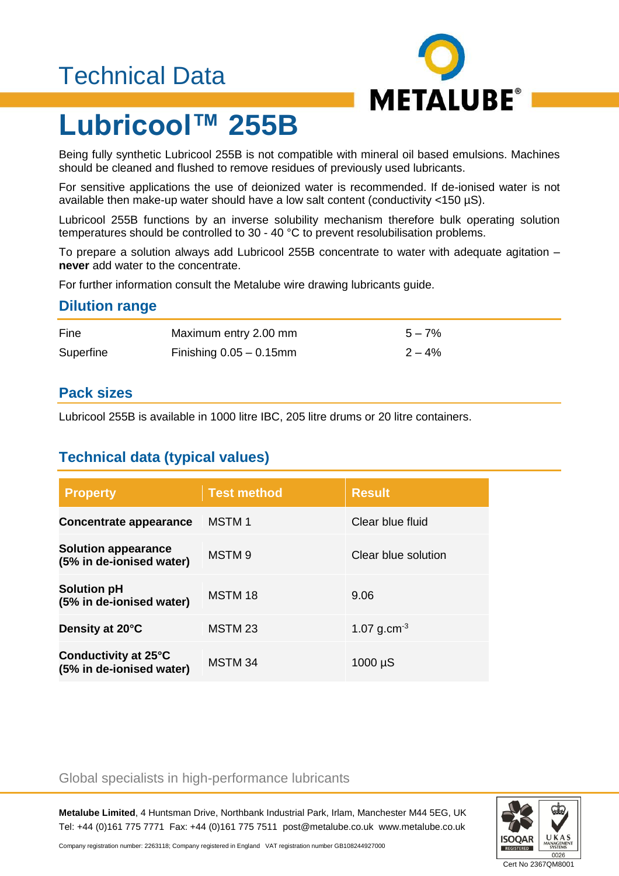## Technical Data



# **Lubricool™ 255B**

Being fully synthetic Lubricool 255B is not compatible with mineral oil based emulsions. Machines should be cleaned and flushed to remove residues of previously used lubricants.

For sensitive applications the use of deionized water is recommended. If de-ionised water is not available then make-up water should have a low salt content (conductivity <150 µS).

Lubricool 255B functions by an inverse solubility mechanism therefore bulk operating solution temperatures should be controlled to 30 - 40 °C to prevent resolubilisation problems.

To prepare a solution always add Lubricool 255B concentrate to water with adequate agitation – **never** add water to the concentrate.

For further information consult the Metalube wire drawing lubricants guide.

#### **Dilution range**

| Fine      | Maximum entry 2.00 mm      | $5 - 7%$  |
|-----------|----------------------------|-----------|
| Superfine | Finishing $0.05 - 0.15$ mm | $2 - 4\%$ |

### **Pack sizes**

Lubricool 255B is available in 1000 litre IBC, 205 litre drums or 20 litre containers.

## **Technical data (typical values)**

| <b>Property</b>                                        | <b>Test method</b> | <b>Result</b>       |
|--------------------------------------------------------|--------------------|---------------------|
| Concentrate appearance                                 | <b>MSTM1</b>       | Clear blue fluid    |
| <b>Solution appearance</b><br>(5% in de-ionised water) | MSTM <sub>9</sub>  | Clear blue solution |
| <b>Solution pH</b><br>(5% in de-ionised water)         | MSTM 18            | 9.06                |
| Density at 20°C                                        | MSTM 23            | 1.07 $g.cm^{-3}$    |
| Conductivity at 25°C<br>(5% in de-ionised water)       | MSTM 34            | $1000 \mu S$        |

#### Global specialists in high-performance lubricants

**Metalube Limited**, 4 Huntsman Drive, Northbank Industrial Park, Irlam, Manchester M44 5EG, UK Tel: +44 (0)161 775 7771 Fax: +44 (0)161 775 7511 post@metalube.co.uk www.metalube.co.uk



Company registration number: 2263118; Company registered in England VAT registration number GB108244927000

Cert No 2367QM8001